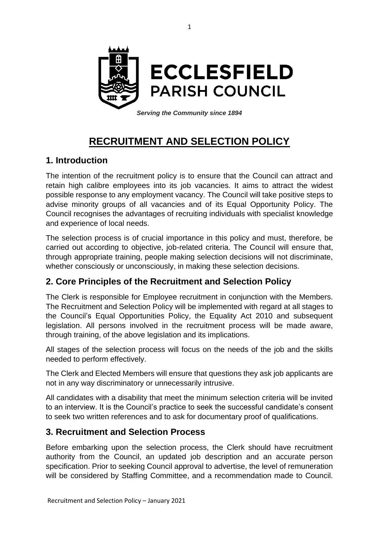

*Serving the Community since 1894*

# **RECRUITMENT AND SELECTION POLICY**

## **1. Introduction**

The intention of the recruitment policy is to ensure that the Council can attract and retain high calibre employees into its job vacancies. It aims to attract the widest possible response to any employment vacancy. The Council will take positive steps to advise minority groups of all vacancies and of its Equal Opportunity Policy. The Council recognises the advantages of recruiting individuals with specialist knowledge and experience of local needs.

The selection process is of crucial importance in this policy and must, therefore, be carried out according to objective, job-related criteria. The Council will ensure that, through appropriate training, people making selection decisions will not discriminate, whether consciously or unconsciously, in making these selection decisions.

# **2. Core Principles of the Recruitment and Selection Policy**

The Clerk is responsible for Employee recruitment in conjunction with the Members. The Recruitment and Selection Policy will be implemented with regard at all stages to the Council's Equal Opportunities Policy, the Equality Act 2010 and subsequent legislation. All persons involved in the recruitment process will be made aware, through training, of the above legislation and its implications.

All stages of the selection process will focus on the needs of the job and the skills needed to perform effectively.

The Clerk and Elected Members will ensure that questions they ask job applicants are not in any way discriminatory or unnecessarily intrusive.

All candidates with a disability that meet the minimum selection criteria will be invited to an interview. It is the Council's practice to seek the successful candidate's consent to seek two written references and to ask for documentary proof of qualifications.

#### **3. Recruitment and Selection Process**

Before embarking upon the selection process, the Clerk should have recruitment authority from the Council, an updated job description and an accurate person specification. Prior to seeking Council approval to advertise, the level of remuneration will be considered by Staffing Committee, and a recommendation made to Council.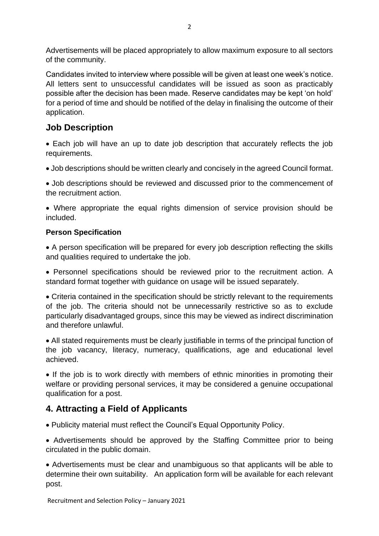Advertisements will be placed appropriately to allow maximum exposure to all sectors of the community.

Candidates invited to interview where possible will be given at least one week's notice. All letters sent to unsuccessful candidates will be issued as soon as practicably possible after the decision has been made. Reserve candidates may be kept 'on hold' for a period of time and should be notified of the delay in finalising the outcome of their application.

## **Job Description**

• Each job will have an up to date job description that accurately reflects the job requirements.

• Job descriptions should be written clearly and concisely in the agreed Council format.

• Job descriptions should be reviewed and discussed prior to the commencement of the recruitment action.

• Where appropriate the equal rights dimension of service provision should be included.

#### **Person Specification**

• A person specification will be prepared for every job description reflecting the skills and qualities required to undertake the job.

• Personnel specifications should be reviewed prior to the recruitment action. A standard format together with guidance on usage will be issued separately.

• Criteria contained in the specification should be strictly relevant to the requirements of the job. The criteria should not be unnecessarily restrictive so as to exclude particularly disadvantaged groups, since this may be viewed as indirect discrimination and therefore unlawful.

• All stated requirements must be clearly justifiable in terms of the principal function of the job vacancy, literacy, numeracy, qualifications, age and educational level achieved.

• If the job is to work directly with members of ethnic minorities in promoting their welfare or providing personal services, it may be considered a genuine occupational qualification for a post.

# **4. Attracting a Field of Applicants**

• Publicity material must reflect the Council's Equal Opportunity Policy.

• Advertisements should be approved by the Staffing Committee prior to being circulated in the public domain.

• Advertisements must be clear and unambiguous so that applicants will be able to determine their own suitability. An application form will be available for each relevant post.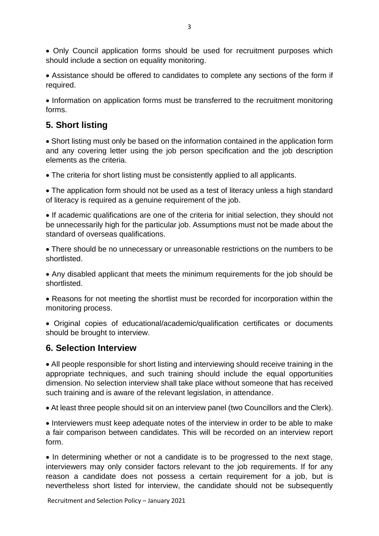• Only Council application forms should be used for recruitment purposes which should include a section on equality monitoring.

• Assistance should be offered to candidates to complete any sections of the form if required.

• Information on application forms must be transferred to the recruitment monitoring forms.

## **5. Short listing**

• Short listing must only be based on the information contained in the application form and any covering letter using the job person specification and the job description elements as the criteria.

• The criteria for short listing must be consistently applied to all applicants.

• The application form should not be used as a test of literacy unless a high standard of literacy is required as a genuine requirement of the job.

• If academic qualifications are one of the criteria for initial selection, they should not be unnecessarily high for the particular job. Assumptions must not be made about the standard of overseas qualifications.

• There should be no unnecessary or unreasonable restrictions on the numbers to be shortlisted.

• Any disabled applicant that meets the minimum requirements for the job should be shortlisted.

• Reasons for not meeting the shortlist must be recorded for incorporation within the monitoring process.

• Original copies of educational/academic/qualification certificates or documents should be brought to interview.

#### **6. Selection Interview**

• All people responsible for short listing and interviewing should receive training in the appropriate techniques, and such training should include the equal opportunities dimension. No selection interview shall take place without someone that has received such training and is aware of the relevant legislation, in attendance.

• At least three people should sit on an interview panel (two Councillors and the Clerk).

• Interviewers must keep adequate notes of the interview in order to be able to make a fair comparison between candidates. This will be recorded on an interview report form.

• In determining whether or not a candidate is to be progressed to the next stage, interviewers may only consider factors relevant to the job requirements. If for any reason a candidate does not possess a certain requirement for a job, but is nevertheless short listed for interview, the candidate should not be subsequently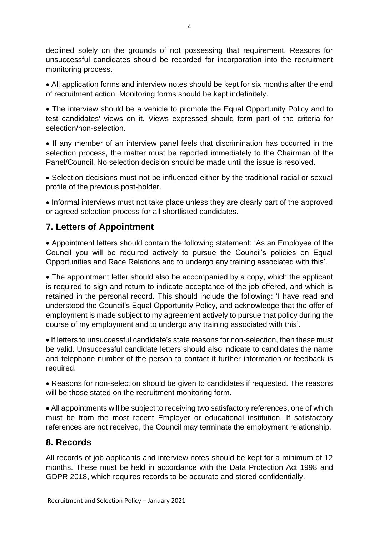declined solely on the grounds of not possessing that requirement. Reasons for unsuccessful candidates should be recorded for incorporation into the recruitment monitoring process.

• All application forms and interview notes should be kept for six months after the end of recruitment action. Monitoring forms should be kept indefinitely.

• The interview should be a vehicle to promote the Equal Opportunity Policy and to test candidates' views on it. Views expressed should form part of the criteria for selection/non-selection.

• If any member of an interview panel feels that discrimination has occurred in the selection process, the matter must be reported immediately to the Chairman of the Panel/Council. No selection decision should be made until the issue is resolved.

• Selection decisions must not be influenced either by the traditional racial or sexual profile of the previous post-holder.

• Informal interviews must not take place unless they are clearly part of the approved or agreed selection process for all shortlisted candidates.

## **7. Letters of Appointment**

• Appointment letters should contain the following statement: 'As an Employee of the Council you will be required actively to pursue the Council's policies on Equal Opportunities and Race Relations and to undergo any training associated with this'.

• The appointment letter should also be accompanied by a copy, which the applicant is required to sign and return to indicate acceptance of the job offered, and which is retained in the personal record. This should include the following: 'I have read and understood the Council's Equal Opportunity Policy, and acknowledge that the offer of employment is made subject to my agreement actively to pursue that policy during the course of my employment and to undergo any training associated with this'.

• If letters to unsuccessful candidate's state reasons for non-selection, then these must be valid. Unsuccessful candidate letters should also indicate to candidates the name and telephone number of the person to contact if further information or feedback is required.

• Reasons for non-selection should be given to candidates if requested. The reasons will be those stated on the recruitment monitoring form.

• All appointments will be subject to receiving two satisfactory references, one of which must be from the most recent Employer or educational institution. If satisfactory references are not received, the Council may terminate the employment relationship.

## **8. Records**

All records of job applicants and interview notes should be kept for a minimum of 12 months. These must be held in accordance with the Data Protection Act 1998 and GDPR 2018, which requires records to be accurate and stored confidentially.